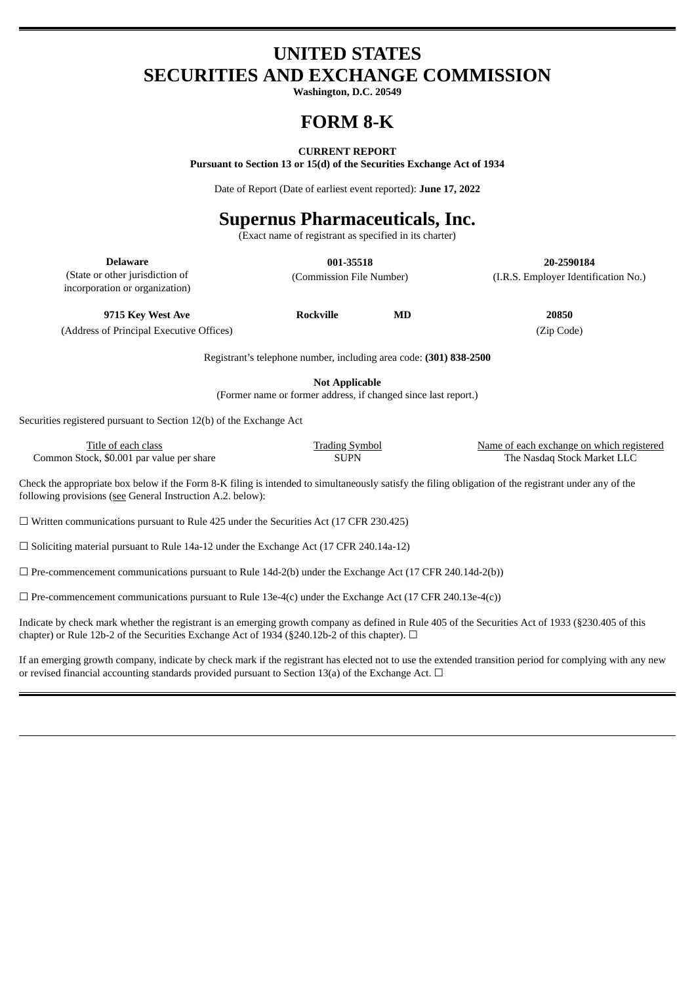## **UNITED STATES SECURITIES AND EXCHANGE COMMISSION**

**Washington, D.C. 20549**

## **FORM 8-K**

#### **CURRENT REPORT**

**Pursuant to Section 13 or 15(d) of the Securities Exchange Act of 1934**

Date of Report (Date of earliest event reported): **June 17, 2022**

# **Supernus Pharmaceuticals, Inc.**

(Exact name of registrant as specified in its charter)

**Delaware 001-35518 20-2590184** (Commission File Number) (I.R.S. Employer Identification No.)

(State or other jurisdiction of incorporation or organization)

**9715 Key West Ave Rockville MD 20850**

(Address of Principal Executive Offices) (Zip Code)

Registrant's telephone number, including area code: **(301) 838-2500**

**Not Applicable**

(Former name or former address, if changed since last report.)

Securities registered pursuant to Section 12(b) of the Exchange Act

| Title of each class                       | <b>Trading Symbol</b> | Name of each exchange on which registered |
|-------------------------------------------|-----------------------|-------------------------------------------|
| Common Stock, \$0.001 par value per share | SUPN                  | The Nasdag Stock Market LLC               |

Check the appropriate box below if the Form 8-K filing is intended to simultaneously satisfy the filing obligation of the registrant under any of the following provisions (see General Instruction A.2. below):

 $\Box$  Written communications pursuant to Rule 425 under the Securities Act (17 CFR 230.425)

☐ Soliciting material pursuant to Rule 14a-12 under the Exchange Act (17 CFR 240.14a-12)

 $\square$  Pre-commencement communications pursuant to Rule 14d-2(b) under the Exchange Act (17 CFR 240.14d-2(b))

 $\Box$  Pre-commencement communications pursuant to Rule 13e-4(c) under the Exchange Act (17 CFR 240.13e-4(c))

Indicate by check mark whether the registrant is an emerging growth company as defined in Rule 405 of the Securities Act of 1933 (§230.405 of this chapter) or Rule 12b-2 of the Securities Exchange Act of 1934 (§240.12b-2 of this chapter).  $\Box$ 

If an emerging growth company, indicate by check mark if the registrant has elected not to use the extended transition period for complying with any new or revised financial accounting standards provided pursuant to Section 13(a) of the Exchange Act.  $\Box$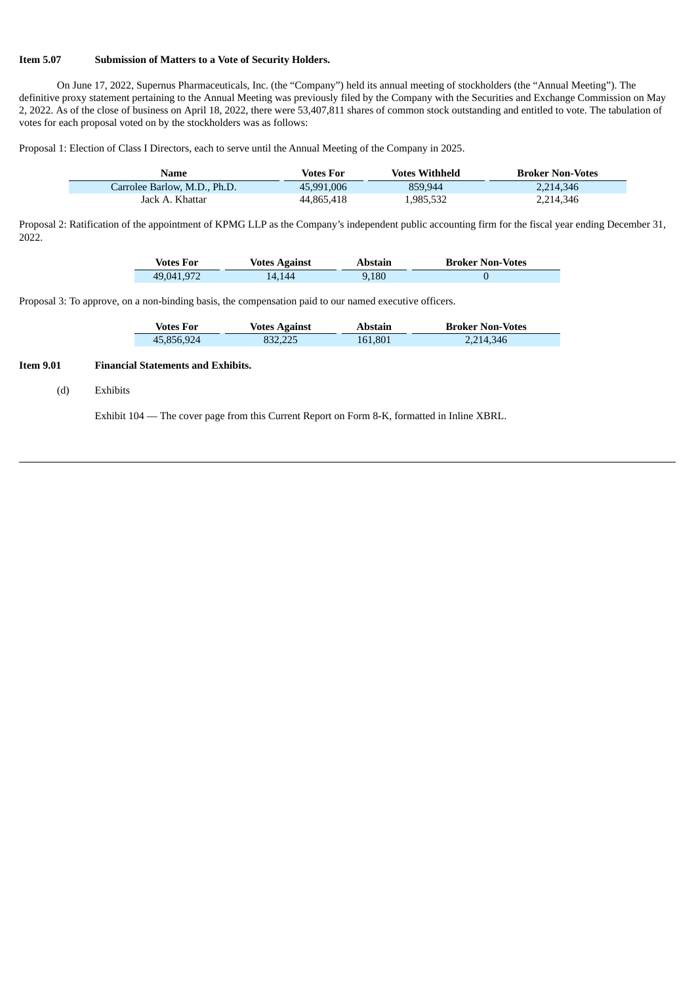#### **Item 5.07 Submission of Matters to a Vote of Security Holders.**

On June 17, 2022, Supernus Pharmaceuticals, Inc. (the "Company") held its annual meeting of stockholders (the "Annual Meeting"). The definitive proxy statement pertaining to the Annual Meeting was previously filed by the Company with the Securities and Exchange Commission on May 2, 2022. As of the close of business on April 18, 2022, there were 53,407,811 shares of common stock outstanding and entitled to vote. The tabulation of votes for each proposal voted on by the stockholders was as follows:

Proposal 1: Election of Class I Directors, each to serve until the Annual Meeting of the Company in 2025.

| Name                         | Votes For  | <b>Votes Withheld</b> | <b>Broker Non-Votes</b> |
|------------------------------|------------|-----------------------|-------------------------|
| Carrolee Barlow, M.D., Ph.D. | 45,991,006 | 859.944               | 2.214.346               |
| Jack A. Khattar              | 44,865,418 | 1,985,532             | 2,214,346               |

Proposal 2: Ratification of the appointment of KPMG LLP as the Company's independent public accounting firm for the fiscal year ending December 31, 2022.

| <b>Votes For</b> | <b>Votes Against</b> | Abstain | <b>Broker Non-Votes</b> |
|------------------|----------------------|---------|-------------------------|
| 49,041,972       | L4.144               | 9.180   |                         |

Proposal 3: To approve, on a non-binding basis, the compensation paid to our named executive officers.

| <b>Votes For</b> | <b>Votes Against</b> | Abstain | <b>Broker Non-Votes</b> |
|------------------|----------------------|---------|-------------------------|
| 45,856,924       | 832,225              | 161,801 | 2,214,346               |

### **Item 9.01 Financial Statements and Exhibits.**

Ī

#### (d) Exhibits

Exhibit 104 — The cover page from this Current Report on Form 8-K, formatted in Inline XBRL.